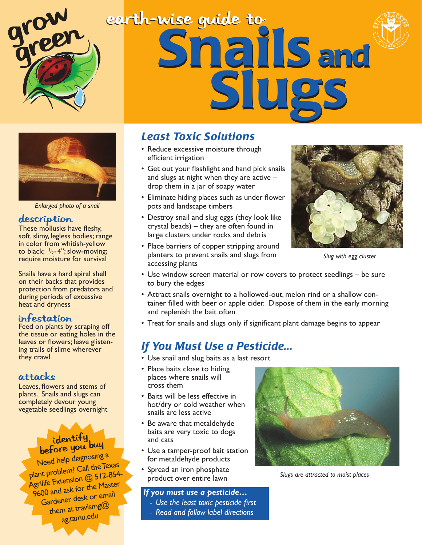

# earth-wise guide to Snails and



*Enlarged photo of a snail*

#### description

These mollusks have fleshy, soft, slimy, legless bodies; range in color from whitish-yellow to black;  $1/2 - 4$ "; slow-moving; require moisture for survival

Snails have a hard spiral shell on their backs that provides protection from predators and during periods of excessive heat and dryness

#### Infestation

Feed on plants by scraping off the tissue or eating holes in the leaves or flowers; leave glistening trails of slime wherever they crawl

#### Attacks

Leaves, flowers and stems of plants. Snails and slugs can completely devour young vegetable seedlings overnight

### identify<br>before you buy

Need help diagnosing a plant problem? Call the Texas Agrilife Extension @ 512-854- 9600 and ask for the Master Gardener desk or email them at travismg@ ag.tamu.edu

#### *Least Toxic Solutions*

- Reduce excessive moisture through efficient irrigation
- Get out your flashlight and hand pick snails and slugs at night when they are active – drop them in a jar of soapy water
- Eliminate hiding places such as under flower pots and landscape timbers
- Destroy snail and slug eggs (they look like crystal beads) – they are often found in large clusters under rocks and debris
- Place barriers of copper stripping around planters to prevent snails and slugs from accessing plants



*Slug with egg cluster*

- Use window screen material or row covers to protect seedlings be sure to bury the edges
- Attract snails overnight to a hollowed-out, melon rind or a shallow container filled with beer or apple cider. Dispose of them in the early morning and replenish the bait often
- Treat for snails and slugs only if significant plant damage begins to appear

#### *If You Must Use a Pesticide...*

- Use snail and slug baits as a last resort
- Place baits close to hiding places where snails will cross them
- Baits will be less effective in hot/dry or cold weather when snails are less active
- Be aware that metaldehyde baits are very toxic to dogs and cats
- Use a tamper-proof bait station for metaldehyde products
- Spread an iron phosphate product over entire lawn

#### *If you must use a pesticide…*

- *Use the least toxic pesticide first*
- *Read and follow label directions*



*Slugs are attracted to moist places*